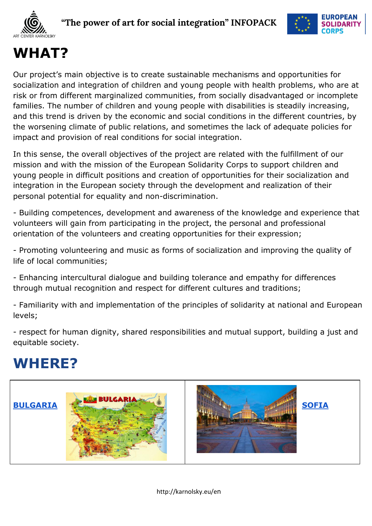



# **WHAT?**

Our project's main objective is to create sustainable mechanisms and opportunities for socialization and integration of children and young people with health problems, who are at risk or from different marginalized communities, from socially disadvantaged or incomplete families. The number of children and young people with disabilities is steadily increasing, and this trend is driven by the economic and social conditions in the different countries, by the worsening climate of public relations, and sometimes the lack of adequate policies for impact and provision of real conditions for social integration.

In this sense, the overall objectives of the project are related with the fulfillment of our mission and with the mission of the European Solidarity Corps to support children and young people in difficult positions and creation of opportunities for their socialization and integration in the European society through the development and realization of their personal potential for equality and non-discrimination.

- Building competences, development and awareness of the knowledge and experience that volunteers will gain from participating in the project, the personal and professional orientation of the volunteers and creating opportunities for their expression;

- Promoting volunteering and music as forms of socialization and improving the quality of life of local communities;

- Enhancing intercultural dialogue and building tolerance and empathy for differences through mutual recognition and respect for different cultures and traditions;

- Familiarity with and implementation of the principles of solidarity at national and European levels;

- respect for human dignity, shared responsibilities and mutual support, building a just and equitable society.

### **WHERE?**



http://karnolsky.eu/en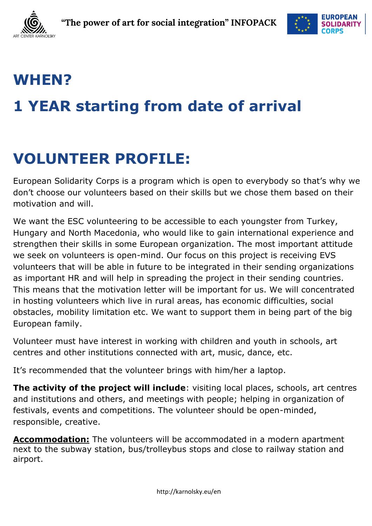



# **WHEN? 1 YEAR starting from date of arrival**

# **VOLUNTEER PROFILE:**

European Solidarity Corps is a program which is open to everybody so that's why we don't choose our volunteers based on their skills but we chose them based on their motivation and will.

We want the ESC volunteering to be accessible to each youngster from Turkey, Hungary and North Macedonia, who would like to gain international experience and strengthen their skills in some European organization. The most important attitude we seek on volunteers is open-mind. Our focus on this project is receiving EVS volunteers that will be able in future to be integrated in their sending organizations as important HR and will help in spreading the project in their sending countries. This means that the motivation letter will be important for us. We will concentrated in hosting volunteers which live in rural areas, has economic difficulties, social obstacles, mobility limitation etc. We want to support them in being part of the big European family.

Volunteer must have interest in working with children and youth in schools, art centres and other institutions connected with art, music, dance, etc.

It's recommended that the volunteer brings with him/her a laptop.

**The activity of the project will include**: visiting local places, schools, art centres and institutions and others, and meetings with people; helping in organization of festivals, events and competitions. The volunteer should be open-minded, responsible, creative.

**Accommodation:** The volunteers will be accommodated in a modern apartment next to the subway station, bus/trolleybus stops and close to railway station and airport.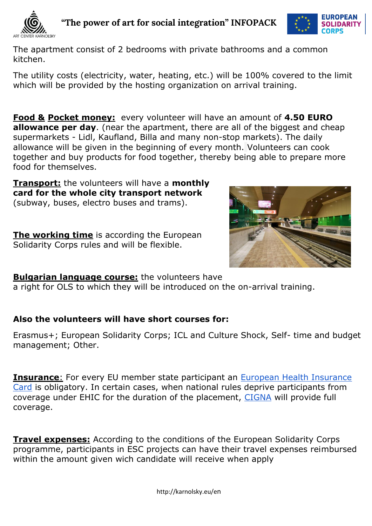

 **"The power of art for social integration" INFOPACK**



The apartment consist of 2 bedrooms with private bathrooms and a common kitchen.

The utility costs (electricity, water, heating, etc.) will be 100% covered to the limit which will be provided by the hosting organization on arrival training.

**Food & Pocket money:** every volunteer will have an amount of **4.50 EURO allowance per day**. (near the apartment, there are all of the biggest and cheap supermarkets - Lidl, Kaufland, Billa and many non-stop markets). The daily allowance will be given in the beginning of every month. Volunteers can cook together and buy products for food together, thereby being able to prepare more food for themselves.

**Transport:** the volunteers will have a **monthly card for the whole city transport network** (subway, buses, electro buses and trams).

**The working time** is according the European Solidarity Corps rules and will be flexible.



**Bulgarian language course:** the volunteers have

a right for OLS to which they will be introduced on the on-arrival training.

#### **Also the volunteers will have short courses for:**

Erasmus+; European Solidarity Corps; ICL and Culture Shock, Self- time and budget management; Other.

**Insurance:** For every EU member state participant an European Health Insurance [Card](https://www.nhs.uk/using-the-nhs/healthcare-abroad/apply-for-a-free-ehic-european-health-insurance-card/) is obligatory. In certain cases, when national rules deprive participants from coverage under EHIC for the duration of the placement, [CIGNA](https://www.cignahealthbenefits.com/en/plan-members) will provide full coverage.

**Travel expenses:** According to the conditions of the European Solidarity Corps programme, participants in ESC projects can have their travel expenses reimbursed within the amount given wich candidate will receive when apply